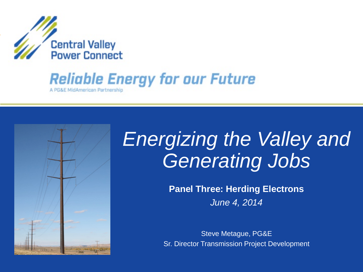

## **Reliable Energy for our Future**

A PG&E MidAmerican Partnership



# *Energizing the Valley and Generating Jobs*

**Panel Three: Herding Electrons** *June 4, 2014*

Steve Metague, PG&E Sr. Director Transmission Project Development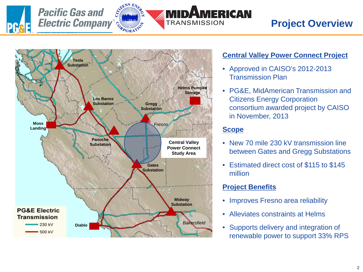



### **Project Overview**



#### **Central Valley Power Connect Project**

- Approved in CAISO's 2012-2013 Transmission Plan
- PG&E, MidAmerican Transmission and Citizens Energy Corporation consortium awarded project by CAISO in November, 2013

#### **Scope**

**ERICAN** 

- New 70 mile 230 kV transmission line between Gates and Gregg Substations
- Estimated direct cost of \$115 to \$145 million

#### **Project Benefits**

- Improves Fresno area reliability
- Alleviates constraints at Helms
- Supports delivery and integration of renewable power to support 33% RPS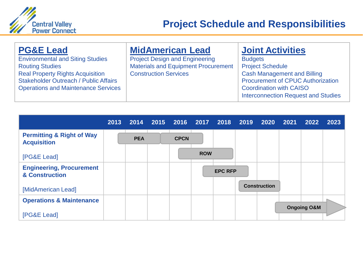

| <b>PG&amp;E Lead</b>                         | <b>MidAmerican Lead</b>                    | <b>Joint Activities</b>                    |
|----------------------------------------------|--------------------------------------------|--------------------------------------------|
| <b>Environmental and Siting Studies</b>      | <b>Project Design and Engineering</b>      | <b>Budgets</b>                             |
| <b>Routing Studies</b>                       | <b>Materials and Equipment Procurement</b> | <b>Project Schedule</b>                    |
| <b>Real Property Rights Acquisition</b>      | <b>Construction Services</b>               | <b>Cash Management and Billing</b>         |
| <b>Stakeholder Outreach / Public Affairs</b> |                                            | <b>Procurement of CPUC Authorization</b>   |
| <b>Operations and Maintenance Services</b>   |                                            | <b>Coordination with CAISO</b>             |
|                                              |                                            | <b>Interconnection Request and Studies</b> |

|                                                            | 2013 | 2014       | 2015 2016 2017 2018 2019 |            |                | 2020                | 2021 | 2022                   | 2023 |
|------------------------------------------------------------|------|------------|--------------------------|------------|----------------|---------------------|------|------------------------|------|
| <b>Permitting &amp; Right of Way</b><br><b>Acquisition</b> |      | <b>PEA</b> | <b>CPCN</b>              |            |                |                     |      |                        |      |
| [PG&E Lead]                                                |      |            |                          | <b>ROW</b> |                |                     |      |                        |      |
| <b>Engineering, Procurement</b><br>& Construction          |      |            |                          |            | <b>EPC RFP</b> |                     |      |                        |      |
| [MidAmerican Lead]                                         |      |            |                          |            |                | <b>Construction</b> |      |                        |      |
| <b>Operations &amp; Maintenance</b>                        |      |            |                          |            |                |                     |      |                        |      |
| [PG&E Lead]                                                |      |            |                          |            |                |                     |      | <b>Ongoing O&amp;M</b> |      |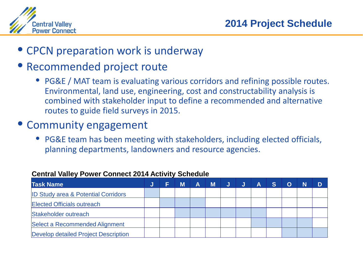

• CPCN preparation work is underway

## • Recommended project route

• PG&E / MAT team is evaluating various corridors and refining possible routes. Environmental, land use, engineering, cost and constructability analysis is combined with stakeholder input to define a recommended and alternative routes to guide field surveys in 2015.

## • Community engagement

• PG&E team has been meeting with stakeholders, including elected officials, planning departments, landowners and resource agencies.

| <b>Task Name</b>                               | J | M | A | M |  | Α | S |  |  |
|------------------------------------------------|---|---|---|---|--|---|---|--|--|
| <b>ID Study area &amp; Potential Corridors</b> |   |   |   |   |  |   |   |  |  |
| <b>Elected Officials outreach</b>              |   |   |   |   |  |   |   |  |  |
| Stakeholder outreach                           |   |   |   |   |  |   |   |  |  |
| Select a Recommended Alignment                 |   |   |   |   |  |   |   |  |  |
| Develop detailed Project Description           |   |   |   |   |  |   |   |  |  |

#### **Central Valley Power Connect 2014 Activity Schedule**